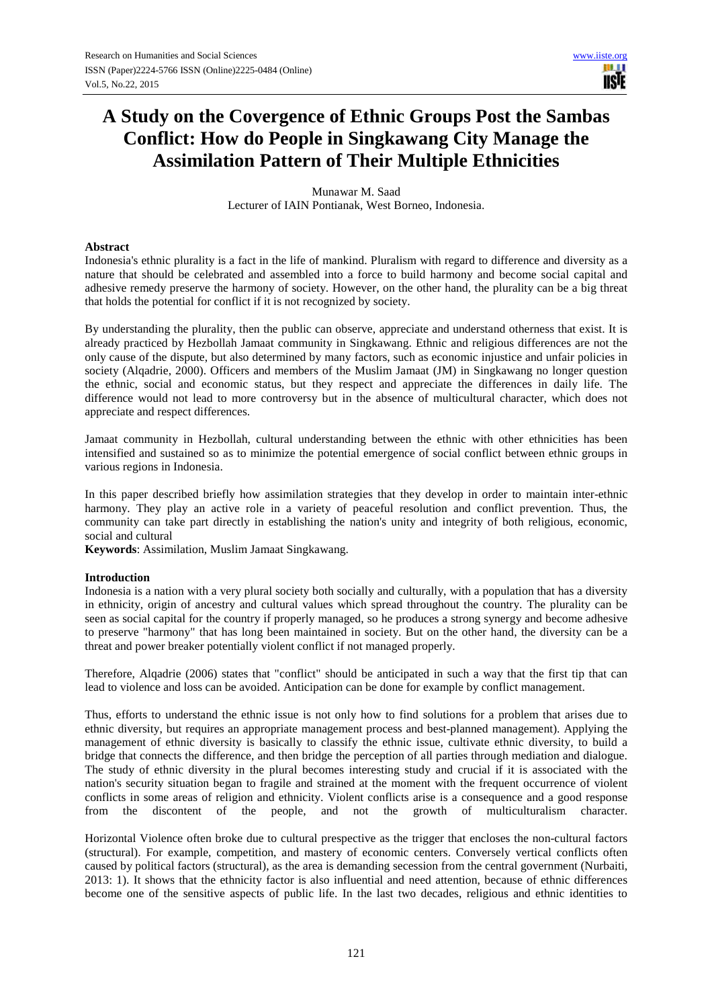# **A Study on the Covergence of Ethnic Groups Post the Sambas Conflict: How do People in Singkawang City Manage the Assimilation Pattern of Their Multiple Ethnicities**

Munawar M. Saad Lecturer of IAIN Pontianak, West Borneo, Indonesia.

#### **Abstract**

Indonesia's ethnic plurality is a fact in the life of mankind. Pluralism with regard to difference and diversity as a nature that should be celebrated and assembled into a force to build harmony and become social capital and adhesive remedy preserve the harmony of society. However, on the other hand, the plurality can be a big threat that holds the potential for conflict if it is not recognized by society.

By understanding the plurality, then the public can observe, appreciate and understand otherness that exist. It is already practiced by Hezbollah Jamaat community in Singkawang. Ethnic and religious differences are not the only cause of the dispute, but also determined by many factors, such as economic injustice and unfair policies in society (Alqadrie, 2000). Officers and members of the Muslim Jamaat (JM) in Singkawang no longer question the ethnic, social and economic status, but they respect and appreciate the differences in daily life. The difference would not lead to more controversy but in the absence of multicultural character, which does not appreciate and respect differences.

Jamaat community in Hezbollah, cultural understanding between the ethnic with other ethnicities has been intensified and sustained so as to minimize the potential emergence of social conflict between ethnic groups in various regions in Indonesia.

In this paper described briefly how assimilation strategies that they develop in order to maintain inter-ethnic harmony. They play an active role in a variety of peaceful resolution and conflict prevention. Thus, the community can take part directly in establishing the nation's unity and integrity of both religious, economic, social and cultural

**Keywords**: Assimilation, Muslim Jamaat Singkawang.

#### **Introduction**

Indonesia is a nation with a very plural society both socially and culturally, with a population that has a diversity in ethnicity, origin of ancestry and cultural values which spread throughout the country. The plurality can be seen as social capital for the country if properly managed, so he produces a strong synergy and become adhesive to preserve "harmony" that has long been maintained in society. But on the other hand, the diversity can be a threat and power breaker potentially violent conflict if not managed properly.

Therefore, Alqadrie (2006) states that "conflict" should be anticipated in such a way that the first tip that can lead to violence and loss can be avoided. Anticipation can be done for example by conflict management.

Thus, efforts to understand the ethnic issue is not only how to find solutions for a problem that arises due to ethnic diversity, but requires an appropriate management process and best-planned management). Applying the management of ethnic diversity is basically to classify the ethnic issue, cultivate ethnic diversity, to build a bridge that connects the difference, and then bridge the perception of all parties through mediation and dialogue. The study of ethnic diversity in the plural becomes interesting study and crucial if it is associated with the nation's security situation began to fragile and strained at the moment with the frequent occurrence of violent conflicts in some areas of religion and ethnicity. Violent conflicts arise is a consequence and a good response from the discontent of the neople, and not the growth of multiculturalism character. from the discontent of the people, and not the growth of multiculturalism character.

Horizontal Violence often broke due to cultural prespective as the trigger that encloses the non-cultural factors (structural). For example, competition, and mastery of economic centers. Conversely vertical conflicts often caused by political factors (structural), as the area is demanding secession from the central government (Nurbaiti, 2013: 1). It shows that the ethnicity factor is also influential and need attention, because of ethnic differences become one of the sensitive aspects of public life. In the last two decades, religious and ethnic identities to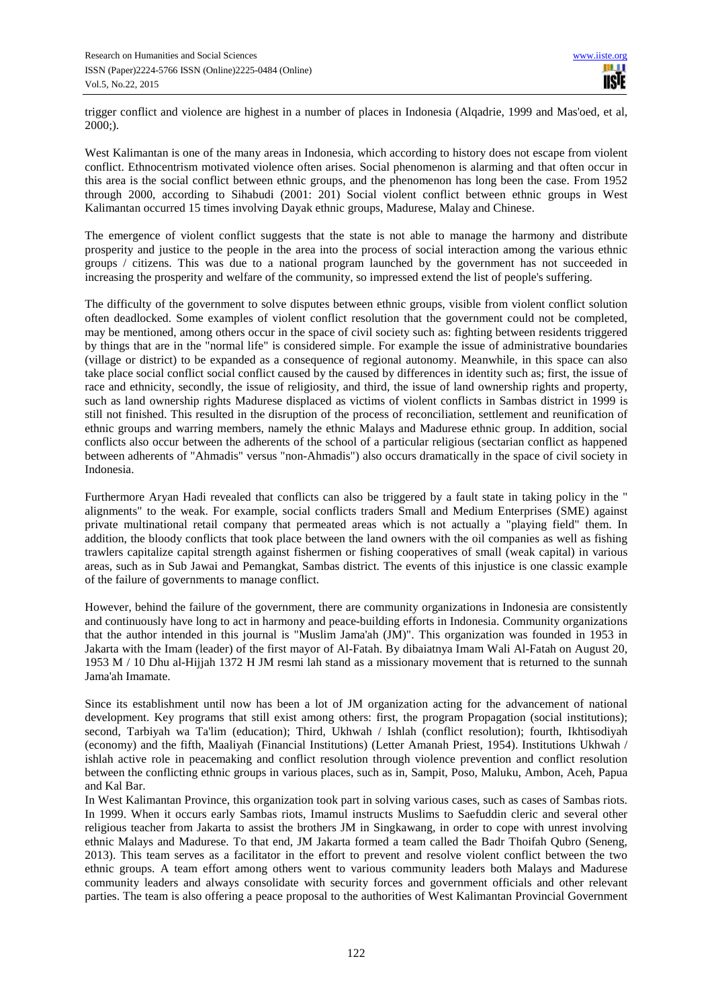trigger conflict and violence are highest in a number of places in Indonesia (Alqadrie, 1999 and Mas'oed, et al,  $2000$ ;).

West Kalimantan is one of the many areas in Indonesia, which according to history does not escape from violent conflict. Ethnocentrism motivated violence often arises. Social phenomenon is alarming and that often occur in this area is the social conflict between ethnic groups, and the phenomenon has long been the case. From 1952 through 2000, according to Sihabudi (2001: 201) Social violent conflict between ethnic groups in West Kalimantan occurred 15 times involving Dayak ethnic groups, Madurese, Malay and Chinese.

The emergence of violent conflict suggests that the state is not able to manage the harmony and distribute prosperity and justice to the people in the area into the process of social interaction among the various ethnic groups / citizens. This was due to a national program launched by the government has not succeeded in increasing the prosperity and welfare of the community, so impressed extend the list of people's suffering.

The difficulty of the government to solve disputes between ethnic groups, visible from violent conflict solution often deadlocked. Some examples of violent conflict resolution that the government could not be completed, may be mentioned, among others occur in the space of civil society such as: fighting between residents triggered by things that are in the "normal life" is considered simple. For example the issue of administrative boundaries (village or district) to be expanded as a consequence of regional autonomy. Meanwhile, in this space can also take place social conflict social conflict caused by the caused by differences in identity such as; first, the issue of race and ethnicity, secondly, the issue of religiosity, and third, the issue of land ownership rights and property, such as land ownership rights Madurese displaced as victims of violent conflicts in Sambas district in 1999 is still not finished. This resulted in the disruption of the process of reconciliation, settlement and reunification of ethnic groups and warring members, namely the ethnic Malays and Madurese ethnic group. In addition, social conflicts also occur between the adherents of the school of a particular religious (sectarian conflict as happened between adherents of "Ahmadis" versus "non-Ahmadis") also occurs dramatically in the space of civil society in Indonesia.

Furthermore Aryan Hadi revealed that conflicts can also be triggered by a fault state in taking policy in the " alignments" to the weak. For example, social conflicts traders Small and Medium Enterprises (SME) against private multinational retail company that permeated areas which is not actually a "playing field" them. In addition, the bloody conflicts that took place between the land owners with the oil companies as well as fishing trawlers capitalize capital strength against fishermen or fishing cooperatives of small (weak capital) in various areas, such as in Sub Jawai and Pemangkat, Sambas district. The events of this injustice is one classic example of the failure of governments to manage conflict.

However, behind the failure of the government, there are community organizations in Indonesia are consistently and continuously have long to act in harmony and peace-building efforts in Indonesia. Community organizations that the author intended in this journal is "Muslim Jama'ah (JM)". This organization was founded in 1953 in Jakarta with the Imam (leader) of the first mayor of Al-Fatah. By dibaiatnya Imam Wali Al-Fatah on August 20, 1953 M / 10 Dhu al-Hijjah 1372 H JM resmi lah stand as a missionary movement that is returned to the sunnah Jama'ah Imamate.

Since its establishment until now has been a lot of JM organization acting for the advancement of national development. Key programs that still exist among others: first, the program Propagation (social institutions); second, Tarbiyah wa Ta'lim (education); Third, Ukhwah / Ishlah (conflict resolution); fourth, Ikhtisodiyah (economy) and the fifth, Maaliyah (Financial Institutions) (Letter Amanah Priest, 1954). Institutions Ukhwah / ishlah active role in peacemaking and conflict resolution through violence prevention and conflict resolution between the conflicting ethnic groups in various places, such as in, Sampit, Poso, Maluku, Ambon, Aceh, Papua and Kal Bar.

In West Kalimantan Province, this organization took part in solving various cases, such as cases of Sambas riots. In 1999. When it occurs early Sambas riots, Imamul instructs Muslims to Saefuddin cleric and several other religious teacher from Jakarta to assist the brothers JM in Singkawang, in order to cope with unrest involving ethnic Malays and Madurese. To that end, JM Jakarta formed a team called the Badr Thoifah Qubro (Seneng, 2013). This team serves as a facilitator in the effort to prevent and resolve violent conflict between the two ethnic groups. A team effort among others went to various community leaders both Malays and Madurese community leaders and always consolidate with security forces and government officials and other relevant parties. The team is also offering a peace proposal to the authorities of West Kalimantan Provincial Government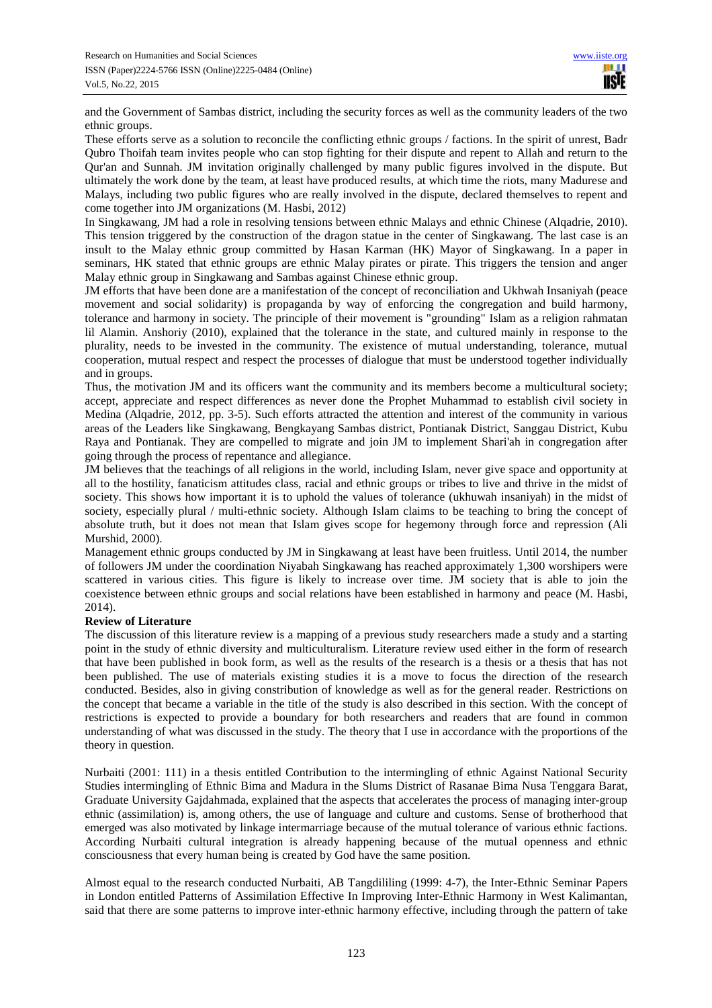and the Government of Sambas district, including the security forces as well as the community leaders of the two ethnic groups.

These efforts serve as a solution to reconcile the conflicting ethnic groups / factions. In the spirit of unrest, Badr Qubro Thoifah team invites people who can stop fighting for their dispute and repent to Allah and return to the Qur'an and Sunnah. JM invitation originally challenged by many public figures involved in the dispute. But ultimately the work done by the team, at least have produced results, at which time the riots, many Madurese and Malays, including two public figures who are really involved in the dispute, declared themselves to repent and come together into JM organizations (M. Hasbi, 2012)

In Singkawang, JM had a role in resolving tensions between ethnic Malays and ethnic Chinese (Alqadrie, 2010). This tension triggered by the construction of the dragon statue in the center of Singkawang. The last case is an insult to the Malay ethnic group committed by Hasan Karman (HK) Mayor of Singkawang. In a paper in seminars, HK stated that ethnic groups are ethnic Malay pirates or pirate. This triggers the tension and anger Malay ethnic group in Singkawang and Sambas against Chinese ethnic group.

JM efforts that have been done are a manifestation of the concept of reconciliation and Ukhwah Insaniyah (peace movement and social solidarity) is propaganda by way of enforcing the congregation and build harmony, tolerance and harmony in society. The principle of their movement is "grounding" Islam as a religion rahmatan lil Alamin. Anshoriy (2010), explained that the tolerance in the state, and cultured mainly in response to the plurality, needs to be invested in the community. The existence of mutual understanding, tolerance, mutual cooperation, mutual respect and respect the processes of dialogue that must be understood together individually and in groups.

Thus, the motivation JM and its officers want the community and its members become a multicultural society; accept, appreciate and respect differences as never done the Prophet Muhammad to establish civil society in Medina (Alqadrie, 2012, pp. 3-5). Such efforts attracted the attention and interest of the community in various areas of the Leaders like Singkawang, Bengkayang Sambas district, Pontianak District, Sanggau District, Kubu Raya and Pontianak. They are compelled to migrate and join JM to implement Shari'ah in congregation after going through the process of repentance and allegiance.

JM believes that the teachings of all religions in the world, including Islam, never give space and opportunity at all to the hostility, fanaticism attitudes class, racial and ethnic groups or tribes to live and thrive in the midst of society. This shows how important it is to uphold the values of tolerance (ukhuwah insaniyah) in the midst of society, especially plural / multi-ethnic society. Although Islam claims to be teaching to bring the concept of absolute truth, but it does not mean that Islam gives scope for hegemony through force and repression (Ali Murshid, 2000).

Management ethnic groups conducted by JM in Singkawang at least have been fruitless. Until 2014, the number of followers JM under the coordination Niyabah Singkawang has reached approximately 1,300 worshipers were scattered in various cities. This figure is likely to increase over time. JM society that is able to join the coexistence between ethnic groups and social relations have been established in harmony and peace (M. Hasbi, 2014).

### **Review of Literature**

The discussion of this literature review is a mapping of a previous study researchers made a study and a starting point in the study of ethnic diversity and multiculturalism. Literature review used either in the form of research that have been published in book form, as well as the results of the research is a thesis or a thesis that has not been published. The use of materials existing studies it is a move to focus the direction of the research conducted. Besides, also in giving constribution of knowledge as well as for the general reader. Restrictions on the concept that became a variable in the title of the study is also described in this section. With the concept of restrictions is expected to provide a boundary for both researchers and readers that are found in common understanding of what was discussed in the study. The theory that I use in accordance with the proportions of the theory in question.

Nurbaiti (2001: 111) in a thesis entitled Contribution to the intermingling of ethnic Against National Security Studies intermingling of Ethnic Bima and Madura in the Slums District of Rasanae Bima Nusa Tenggara Barat, Graduate University Gajdahmada, explained that the aspects that accelerates the process of managing inter-group ethnic (assimilation) is, among others, the use of language and culture and customs. Sense of brotherhood that emerged was also motivated by linkage intermarriage because of the mutual tolerance of various ethnic factions. According Nurbaiti cultural integration is already happening because of the mutual openness and ethnic consciousness that every human being is created by God have the same position.

Almost equal to the research conducted Nurbaiti, AB Tangdililing (1999: 4-7), the Inter-Ethnic Seminar Papers in London entitled Patterns of Assimilation Effective In Improving Inter-Ethnic Harmony in West Kalimantan, said that there are some patterns to improve inter-ethnic harmony effective, including through the pattern of take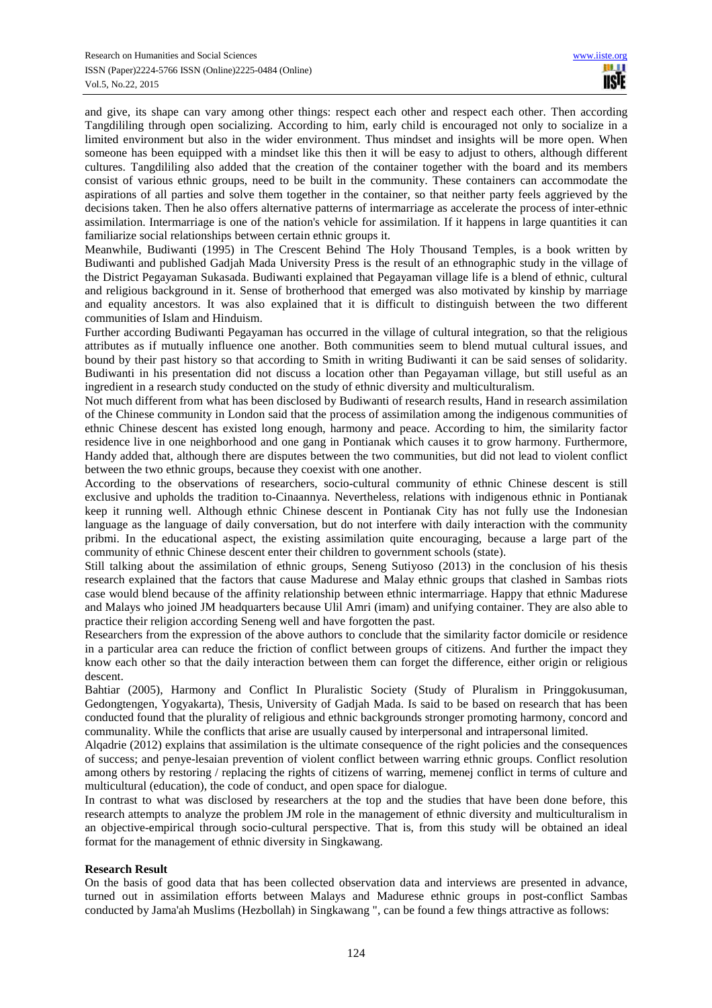and give, its shape can vary among other things: respect each other and respect each other. Then according Tangdililing through open socializing. According to him, early child is encouraged not only to socialize in a limited environment but also in the wider environment. Thus mindset and insights will be more open. When someone has been equipped with a mindset like this then it will be easy to adjust to others, although different cultures. Tangdililing also added that the creation of the container together with the board and its members consist of various ethnic groups, need to be built in the community. These containers can accommodate the aspirations of all parties and solve them together in the container, so that neither party feels aggrieved by the decisions taken. Then he also offers alternative patterns of intermarriage as accelerate the process of inter-ethnic assimilation. Intermarriage is one of the nation's vehicle for assimilation. If it happens in large quantities it can familiarize social relationships between certain ethnic groups it.

Meanwhile, Budiwanti (1995) in The Crescent Behind The Holy Thousand Temples, is a book written by Budiwanti and published Gadjah Mada University Press is the result of an ethnographic study in the village of the District Pegayaman Sukasada. Budiwanti explained that Pegayaman village life is a blend of ethnic, cultural and religious background in it. Sense of brotherhood that emerged was also motivated by kinship by marriage and equality ancestors. It was also explained that it is difficult to distinguish between the two different communities of Islam and Hinduism.

Further according Budiwanti Pegayaman has occurred in the village of cultural integration, so that the religious attributes as if mutually influence one another. Both communities seem to blend mutual cultural issues, and bound by their past history so that according to Smith in writing Budiwanti it can be said senses of solidarity. Budiwanti in his presentation did not discuss a location other than Pegayaman village, but still useful as an ingredient in a research study conducted on the study of ethnic diversity and multiculturalism.

Not much different from what has been disclosed by Budiwanti of research results, Hand in research assimilation of the Chinese community in London said that the process of assimilation among the indigenous communities of ethnic Chinese descent has existed long enough, harmony and peace. According to him, the similarity factor residence live in one neighborhood and one gang in Pontianak which causes it to grow harmony. Furthermore, Handy added that, although there are disputes between the two communities, but did not lead to violent conflict between the two ethnic groups, because they coexist with one another.

According to the observations of researchers, socio-cultural community of ethnic Chinese descent is still exclusive and upholds the tradition to-Cinaannya. Nevertheless, relations with indigenous ethnic in Pontianak keep it running well. Although ethnic Chinese descent in Pontianak City has not fully use the Indonesian language as the language of daily conversation, but do not interfere with daily interaction with the community pribmi. In the educational aspect, the existing assimilation quite encouraging, because a large part of the community of ethnic Chinese descent enter their children to government schools (state).

Still talking about the assimilation of ethnic groups, Seneng Sutiyoso (2013) in the conclusion of his thesis research explained that the factors that cause Madurese and Malay ethnic groups that clashed in Sambas riots case would blend because of the affinity relationship between ethnic intermarriage. Happy that ethnic Madurese and Malays who joined JM headquarters because Ulil Amri (imam) and unifying container. They are also able to practice their religion according Seneng well and have forgotten the past.

Researchers from the expression of the above authors to conclude that the similarity factor domicile or residence in a particular area can reduce the friction of conflict between groups of citizens. And further the impact they know each other so that the daily interaction between them can forget the difference, either origin or religious descent.

Bahtiar (2005), Harmony and Conflict In Pluralistic Society (Study of Pluralism in Pringgokusuman, Gedongtengen, Yogyakarta), Thesis, University of Gadjah Mada. Is said to be based on research that has been conducted found that the plurality of religious and ethnic backgrounds stronger promoting harmony, concord and communality. While the conflicts that arise are usually caused by interpersonal and intrapersonal limited.

Alqadrie (2012) explains that assimilation is the ultimate consequence of the right policies and the consequences of success; and penye-lesaian prevention of violent conflict between warring ethnic groups. Conflict resolution among others by restoring / replacing the rights of citizens of warring, memenej conflict in terms of culture and multicultural (education), the code of conduct, and open space for dialogue.

In contrast to what was disclosed by researchers at the top and the studies that have been done before, this research attempts to analyze the problem JM role in the management of ethnic diversity and multiculturalism in an objective-empirical through socio-cultural perspective. That is, from this study will be obtained an ideal format for the management of ethnic diversity in Singkawang.

### **Research Result**

On the basis of good data that has been collected observation data and interviews are presented in advance, turned out in assimilation efforts between Malays and Madurese ethnic groups in post-conflict Sambas conducted by Jama'ah Muslims (Hezbollah) in Singkawang ", can be found a few things attractive as follows: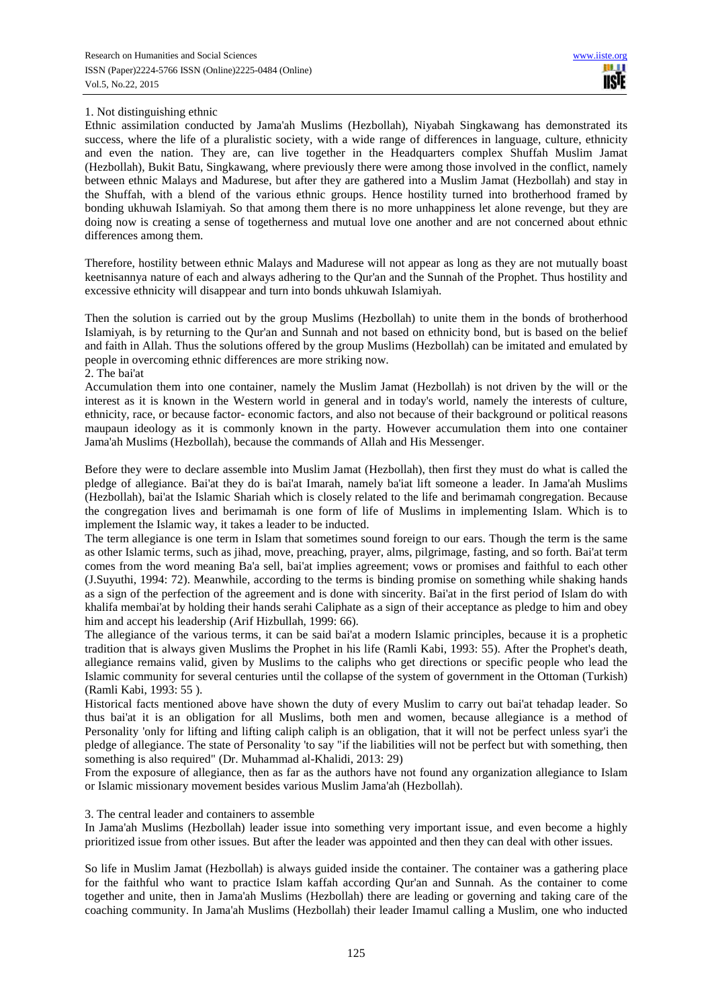## 1. Not distinguishing ethnic

Ethnic assimilation conducted by Jama'ah Muslims (Hezbollah), Niyabah Singkawang has demonstrated its success, where the life of a pluralistic society, with a wide range of differences in language, culture, ethnicity and even the nation. They are, can live together in the Headquarters complex Shuffah Muslim Jamat (Hezbollah), Bukit Batu, Singkawang, where previously there were among those involved in the conflict, namely between ethnic Malays and Madurese, but after they are gathered into a Muslim Jamat (Hezbollah) and stay in the Shuffah, with a blend of the various ethnic groups. Hence hostility turned into brotherhood framed by bonding ukhuwah Islamiyah. So that among them there is no more unhappiness let alone revenge, but they are doing now is creating a sense of togetherness and mutual love one another and are not concerned about ethnic differences among them.

Therefore, hostility between ethnic Malays and Madurese will not appear as long as they are not mutually boast keetnisannya nature of each and always adhering to the Qur'an and the Sunnah of the Prophet. Thus hostility and excessive ethnicity will disappear and turn into bonds uhkuwah Islamiyah.

Then the solution is carried out by the group Muslims (Hezbollah) to unite them in the bonds of brotherhood Islamiyah, is by returning to the Qur'an and Sunnah and not based on ethnicity bond, but is based on the belief and faith in Allah. Thus the solutions offered by the group Muslims (Hezbollah) can be imitated and emulated by people in overcoming ethnic differences are more striking now.

# 2. The bai'at

Accumulation them into one container, namely the Muslim Jamat (Hezbollah) is not driven by the will or the interest as it is known in the Western world in general and in today's world, namely the interests of culture, ethnicity, race, or because factor- economic factors, and also not because of their background or political reasons maupaun ideology as it is commonly known in the party. However accumulation them into one container Jama'ah Muslims (Hezbollah), because the commands of Allah and His Messenger.

Before they were to declare assemble into Muslim Jamat (Hezbollah), then first they must do what is called the pledge of allegiance. Bai'at they do is bai'at Imarah, namely ba'iat lift someone a leader. In Jama'ah Muslims (Hezbollah), bai'at the Islamic Shariah which is closely related to the life and berimamah congregation. Because the congregation lives and berimamah is one form of life of Muslims in implementing Islam. Which is to implement the Islamic way, it takes a leader to be inducted.

The term allegiance is one term in Islam that sometimes sound foreign to our ears. Though the term is the same as other Islamic terms, such as jihad, move, preaching, prayer, alms, pilgrimage, fasting, and so forth. Bai'at term comes from the word meaning Ba'a sell, bai'at implies agreement; vows or promises and faithful to each other (J.Suyuthi, 1994: 72). Meanwhile, according to the terms is binding promise on something while shaking hands as a sign of the perfection of the agreement and is done with sincerity. Bai'at in the first period of Islam do with khalifa membai'at by holding their hands serahi Caliphate as a sign of their acceptance as pledge to him and obey him and accept his leadership (Arif Hizbullah, 1999: 66).

The allegiance of the various terms, it can be said bai'at a modern Islamic principles, because it is a prophetic tradition that is always given Muslims the Prophet in his life (Ramli Kabi, 1993: 55). After the Prophet's death, allegiance remains valid, given by Muslims to the caliphs who get directions or specific people who lead the Islamic community for several centuries until the collapse of the system of government in the Ottoman (Turkish) (Ramli Kabi, 1993: 55 ).

Historical facts mentioned above have shown the duty of every Muslim to carry out bai'at tehadap leader. So thus bai'at it is an obligation for all Muslims, both men and women, because allegiance is a method of Personality 'only for lifting and lifting caliph caliph is an obligation, that it will not be perfect unless syar'i the pledge of allegiance. The state of Personality 'to say "if the liabilities will not be perfect but with something, then something is also required" (Dr. Muhammad al-Khalidi, 2013: 29)

From the exposure of allegiance, then as far as the authors have not found any organization allegiance to Islam or Islamic missionary movement besides various Muslim Jama'ah (Hezbollah).

### 3. The central leader and containers to assemble

In Jama'ah Muslims (Hezbollah) leader issue into something very important issue, and even become a highly prioritized issue from other issues. But after the leader was appointed and then they can deal with other issues.

So life in Muslim Jamat (Hezbollah) is always guided inside the container. The container was a gathering place for the faithful who want to practice Islam kaffah according Qur'an and Sunnah. As the container to come together and unite, then in Jama'ah Muslims (Hezbollah) there are leading or governing and taking care of the coaching community. In Jama'ah Muslims (Hezbollah) their leader Imamul calling a Muslim, one who inducted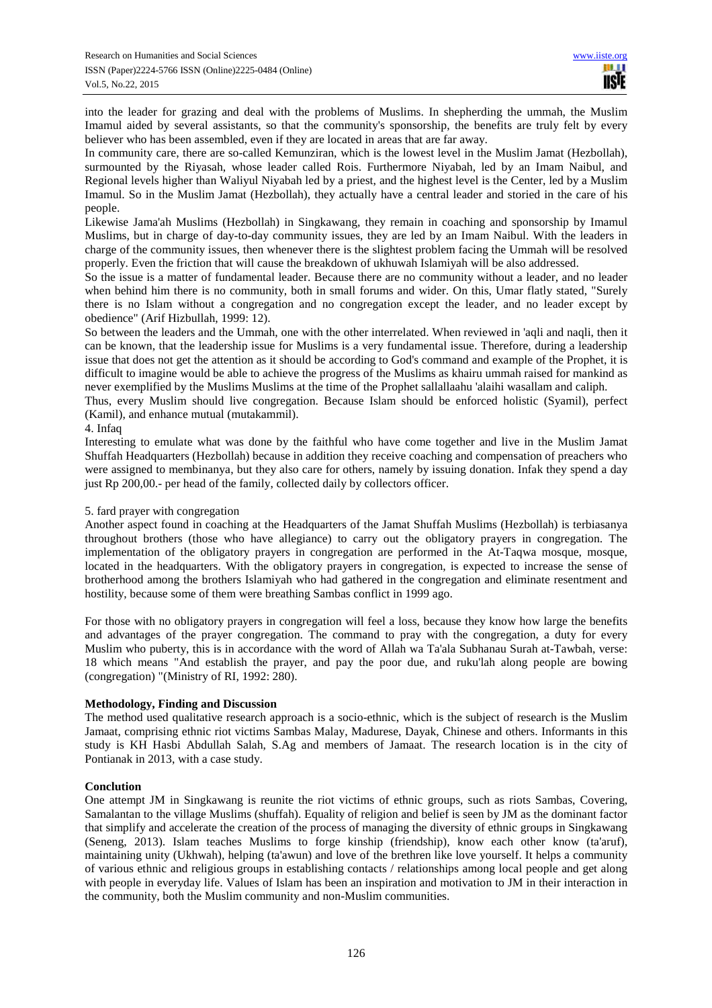into the leader for grazing and deal with the problems of Muslims. In shepherding the ummah, the Muslim Imamul aided by several assistants, so that the community's sponsorship, the benefits are truly felt by every believer who has been assembled, even if they are located in areas that are far away.

In community care, there are so-called Kemunziran, which is the lowest level in the Muslim Jamat (Hezbollah), surmounted by the Riyasah, whose leader called Rois. Furthermore Niyabah, led by an Imam Naibul, and Regional levels higher than Waliyul Niyabah led by a priest, and the highest level is the Center, led by a Muslim Imamul. So in the Muslim Jamat (Hezbollah), they actually have a central leader and storied in the care of his people.

Likewise Jama'ah Muslims (Hezbollah) in Singkawang, they remain in coaching and sponsorship by Imamul Muslims, but in charge of day-to-day community issues, they are led by an Imam Naibul. With the leaders in charge of the community issues, then whenever there is the slightest problem facing the Ummah will be resolved properly. Even the friction that will cause the breakdown of ukhuwah Islamiyah will be also addressed.

So the issue is a matter of fundamental leader. Because there are no community without a leader, and no leader when behind him there is no community, both in small forums and wider. On this, Umar flatly stated, "Surely there is no Islam without a congregation and no congregation except the leader, and no leader except by obedience" (Arif Hizbullah, 1999: 12).

So between the leaders and the Ummah, one with the other interrelated. When reviewed in 'aqli and naqli, then it can be known, that the leadership issue for Muslims is a very fundamental issue. Therefore, during a leadership issue that does not get the attention as it should be according to God's command and example of the Prophet, it is difficult to imagine would be able to achieve the progress of the Muslims as khairu ummah raised for mankind as never exemplified by the Muslims Muslims at the time of the Prophet sallallaahu 'alaihi wasallam and caliph.

Thus, every Muslim should live congregation. Because Islam should be enforced holistic (Syamil), perfect (Kamil), and enhance mutual (mutakammil).

### 4. Infaq

Interesting to emulate what was done by the faithful who have come together and live in the Muslim Jamat Shuffah Headquarters (Hezbollah) because in addition they receive coaching and compensation of preachers who were assigned to membinanya, but they also care for others, namely by issuing donation. Infak they spend a day just Rp 200,00.- per head of the family, collected daily by collectors officer.

## 5. fard prayer with congregation

Another aspect found in coaching at the Headquarters of the Jamat Shuffah Muslims (Hezbollah) is terbiasanya throughout brothers (those who have allegiance) to carry out the obligatory prayers in congregation. The implementation of the obligatory prayers in congregation are performed in the At-Taqwa mosque, mosque, located in the headquarters. With the obligatory prayers in congregation, is expected to increase the sense of brotherhood among the brothers Islamiyah who had gathered in the congregation and eliminate resentment and hostility, because some of them were breathing Sambas conflict in 1999 ago.

For those with no obligatory prayers in congregation will feel a loss, because they know how large the benefits and advantages of the prayer congregation. The command to pray with the congregation, a duty for every Muslim who puberty, this is in accordance with the word of Allah wa Ta'ala Subhanau Surah at-Tawbah, verse: 18 which means "And establish the prayer, and pay the poor due, and ruku'lah along people are bowing (congregation) "(Ministry of RI, 1992: 280).

### **Methodology, Finding and Discussion**

The method used qualitative research approach is a socio-ethnic, which is the subject of research is the Muslim Jamaat, comprising ethnic riot victims Sambas Malay, Madurese, Dayak, Chinese and others. Informants in this study is KH Hasbi Abdullah Salah, S.Ag and members of Jamaat. The research location is in the city of Pontianak in 2013, with a case study.

### **Conclution**

One attempt JM in Singkawang is reunite the riot victims of ethnic groups, such as riots Sambas, Covering, Samalantan to the village Muslims (shuffah). Equality of religion and belief is seen by JM as the dominant factor that simplify and accelerate the creation of the process of managing the diversity of ethnic groups in Singkawang (Seneng, 2013). Islam teaches Muslims to forge kinship (friendship), know each other know (ta'aruf), maintaining unity (Ukhwah), helping (ta'awun) and love of the brethren like love yourself. It helps a community of various ethnic and religious groups in establishing contacts / relationships among local people and get along with people in everyday life. Values of Islam has been an inspiration and motivation to JM in their interaction in the community, both the Muslim community and non-Muslim communities.